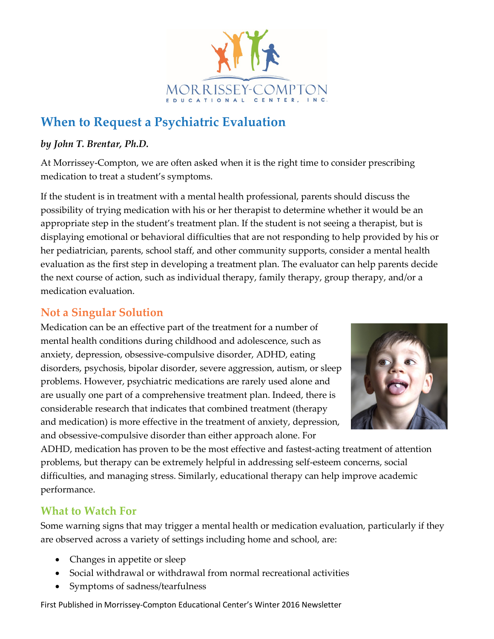

# **When to Request a Psychiatric Evaluation**

#### *by John T. Brentar, Ph.D.*

At Morrissey-Compton, we are often asked when it is the right time to consider prescribing medication to treat a student's symptoms.

If the student is in treatment with a mental health professional, parents should discuss the possibility of trying medication with his or her therapist to determine whether it would be an appropriate step in the student's treatment plan. If the student is not seeing a therapist, but is displaying emotional or behavioral difficulties that are not responding to help provided by his or her pediatrician, parents, school staff, and other community supports, consider a mental health evaluation as the first step in developing a treatment plan. The evaluator can help parents decide the next course of action, such as individual therapy, family therapy, group therapy, and/or a medication evaluation.

# **Not a Singular Solution**

Medication can be an effective part of the treatment for a number of mental health conditions during childhood and adolescence, such as anxiety, depression, obsessive-compulsive disorder, ADHD, eating disorders, psychosis, bipolar disorder, severe aggression, autism, or sleep problems. However, psychiatric medications are rarely used alone and are usually one part of a comprehensive treatment plan. Indeed, there is considerable research that indicates that combined treatment (therapy and medication) is more effective in the treatment of anxiety, depression, and obsessive-compulsive disorder than either approach alone. For



ADHD, medication has proven to be the most effective and fastest-acting treatment of attention problems, but therapy can be extremely helpful in addressing self-esteem concerns, social difficulties, and managing stress. Similarly, educational therapy can help improve academic performance.

# **What to Watch For**

Some warning signs that may trigger a mental health or medication evaluation, particularly if they are observed across a variety of settings including home and school, are:

- Changes in appetite or sleep
- Social withdrawal or withdrawal from normal recreational activities
- Symptoms of sadness/tearfulness

First Published in Morrissey-Compton Educational Center's Winter 2016 Newsletter